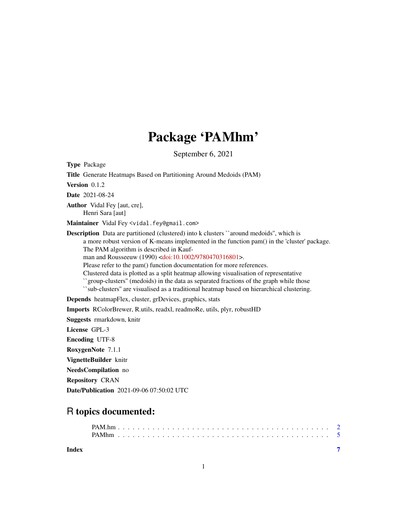# Package 'PAMhm'

September 6, 2021

<span id="page-0-0"></span>Type Package Title Generate Heatmaps Based on Partitioning Around Medoids (PAM) Version 0.1.2 Date 2021-08-24 Author Vidal Fey [aut, cre], Henri Sara [aut] Maintainer Vidal Fey <vidal.fey@gmail.com> Description Data are partitioned (clustered) into k clusters ``around medoids'', which is a more robust version of K-means implemented in the function pam() in the 'cluster' package. The PAM algorithm is described in Kaufman and Rousseeuw (1990) [<doi:10.1002/9780470316801>](https://doi.org/10.1002/9780470316801). Please refer to the pam() function documentation for more references. Clustered data is plotted as a split heatmap allowing visualisation of representative ``group-clusters'' (medoids) in the data as separated fractions of the graph while those ``sub-clusters'' are visualised as a traditional heatmap based on hierarchical clustering. Depends heatmapFlex, cluster, grDevices, graphics, stats Imports RColorBrewer, R.utils, readxl, readmoRe, utils, plyr, robustHD Suggests rmarkdown, knitr

License GPL-3

Encoding UTF-8

RoxygenNote 7.1.1

VignetteBuilder knitr

NeedsCompilation no

Repository CRAN

Date/Publication 2021-09-06 07:50:02 UTC

## R topics documented:

**Index** [7](#page-6-0) **7**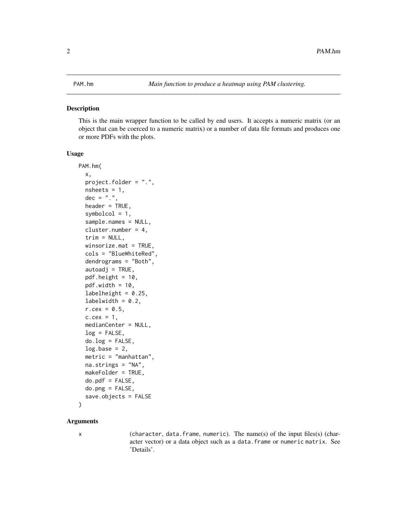#### <span id="page-1-0"></span>Description

This is the main wrapper function to be called by end users. It accepts a numeric matrix (or an object that can be coerced to a numeric matrix) or a number of data file formats and produces one or more PDFs with the plots.

#### Usage

```
PAM.hm(
  x,
  project.folder = ".",
  nsheets = 1,
  dec = ".".header = TRUE,
  symbolcol = 1,
  sample.names = NULL,
  cluster.number = 4,
  trim = NULL,winscrize.math = TRUE,cols = "BlueWhiteRed",
  dendrograms = "Both",
  autoadj = TRUE,pdf.height = 10,
  pdf.width = 10,
  labelheight = 0.25,
  labelwidth = 0.2,r.cex = 0.5,
  c.cex = 1,
  medianCenter = NULL,
  log = FALSE,do.log = FALSE,log base = 2,
  metric = "manhattan",
  na.strings = "NA",
  makeFolder = TRUE,
  do.pdf = FALSE,do.ppg = FALSE,save.objects = FALSE
)
```
#### **Arguments**

x (character, data.frame, numeric). The name(s) of the input files(s) (character vector) or a data object such as a data.frame or numeric matrix. See 'Details'.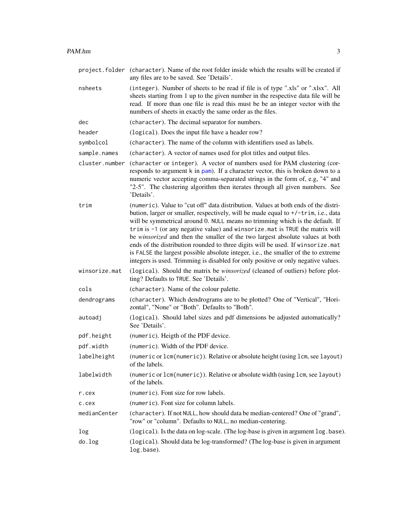<span id="page-2-0"></span>

|                       | project. folder (character). Name of the root folder inside which the results will be created if<br>any files are to be saved. See 'Details'.                                                                                                                                                                                                                                                                                                                                                                                                                                                                                                                                               |
|-----------------------|---------------------------------------------------------------------------------------------------------------------------------------------------------------------------------------------------------------------------------------------------------------------------------------------------------------------------------------------------------------------------------------------------------------------------------------------------------------------------------------------------------------------------------------------------------------------------------------------------------------------------------------------------------------------------------------------|
| nsheets               | (integer). Number of sheets to be read if file is of type ".xls" or ".xlsx". All<br>sheets starting from 1 up to the given number in the respective data file will be<br>read. If more than one file is read this must be be an integer vector with the<br>numbers of sheets in exactly the same order as the files.                                                                                                                                                                                                                                                                                                                                                                        |
| dec                   | (character). The decimal separator for numbers.                                                                                                                                                                                                                                                                                                                                                                                                                                                                                                                                                                                                                                             |
| header                | (logical). Does the input file have a header row?                                                                                                                                                                                                                                                                                                                                                                                                                                                                                                                                                                                                                                           |
| symbolcol             | (character). The name of the column with identifiers used as labels.                                                                                                                                                                                                                                                                                                                                                                                                                                                                                                                                                                                                                        |
| sample.names          | (character). A vector of names used for plot titles and output files.                                                                                                                                                                                                                                                                                                                                                                                                                                                                                                                                                                                                                       |
| cluster.number        | (character or integer). A vector of numbers used for PAM clustering (cor-<br>responds to argument k in pam). If a character vector, this is broken down to a<br>numeric vector accepting comma-separated strings in the form of, e.g, "4" and<br>"2-5". The clustering algorithm then iterates through all given numbers. See<br>'Details'.                                                                                                                                                                                                                                                                                                                                                 |
| trim                  | (numeric). Value to "cut off" data distribution. Values at both ends of the distri-<br>bution, larger or smaller, respectively, will be made equal to +/-trim, i.e., data<br>will be symmetrical around 0. NULL means no trimming which is the default. If<br>trim is -1 (or any negative value) and winsorize. mat is TRUE the matrix will<br>be winsorized and then the smaller of the two largest absolute values at both<br>ends of the distribution rounded to three digits will be used. If winsorize.mat<br>is FALSE the largest possible absolute integer, i.e., the smaller of the to extreme<br>integers is used. Trimming is disabled for only positive or only negative values. |
| winsorize.mat         | (logical). Should the matrix be winsorized (cleaned of outliers) before plot-<br>ting? Defaults to TRUE. See 'Details'.                                                                                                                                                                                                                                                                                                                                                                                                                                                                                                                                                                     |
| cols                  | (character). Name of the colour palette.                                                                                                                                                                                                                                                                                                                                                                                                                                                                                                                                                                                                                                                    |
| dendrograms           | (character). Which dendrograms are to be plotted? One of "Vertical", "Hori-<br>zontal", "None" or "Both". Defaults to "Both".                                                                                                                                                                                                                                                                                                                                                                                                                                                                                                                                                               |
| autoadj               | (logical). Should label sizes and pdf dimensions be adjusted automatically?<br>See 'Details'.                                                                                                                                                                                                                                                                                                                                                                                                                                                                                                                                                                                               |
| pdf.height            | (numeric). Heigth of the PDF device.                                                                                                                                                                                                                                                                                                                                                                                                                                                                                                                                                                                                                                                        |
| pdf.width             | (numeric). Width of the PDF device.                                                                                                                                                                                                                                                                                                                                                                                                                                                                                                                                                                                                                                                         |
| labelheight           | (numeric or lcm(numeric)). Relative or absolute height (using lcm, see layout)<br>of the labels.                                                                                                                                                                                                                                                                                                                                                                                                                                                                                                                                                                                            |
| labelwidth            | (numeric or lcm(numeric)). Relative or absolute width (using lcm, see layout)<br>of the labels.                                                                                                                                                                                                                                                                                                                                                                                                                                                                                                                                                                                             |
| r.cex                 | (numeric). Font size for row labels.                                                                                                                                                                                                                                                                                                                                                                                                                                                                                                                                                                                                                                                        |
| c.cex                 | (numeric). Font size for column labels.                                                                                                                                                                                                                                                                                                                                                                                                                                                                                                                                                                                                                                                     |
| medianCenter          | (character). If not NULL, how should data be median-centered? One of "grand",<br>"row" or "column". Defaults to NULL, no median-centering.                                                                                                                                                                                                                                                                                                                                                                                                                                                                                                                                                  |
| log                   | (logical). Is the data on log-scale. (The log-base is given in argument log.base).                                                                                                                                                                                                                                                                                                                                                                                                                                                                                                                                                                                                          |
| $dn \cdot 1 \wedge r$ | $(1 \text{ or } 1)$ Should data be log transformed? (The log base is given in argument)                                                                                                                                                                                                                                                                                                                                                                                                                                                                                                                                                                                                     |

do.log (logical). Should data be log-transformed? (The log-base is given in argument log.base).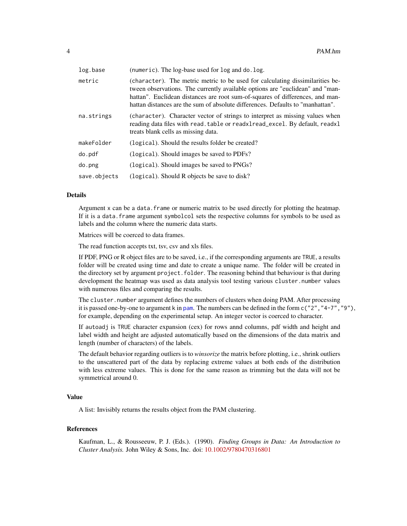| log.base     | (numeric). The log-base used for log and do. log.                                                                                                                                                                                                                                                                                 |
|--------------|-----------------------------------------------------------------------------------------------------------------------------------------------------------------------------------------------------------------------------------------------------------------------------------------------------------------------------------|
| metric       | (character). The metric metric to be used for calculating dissimilarities be-<br>tween observations. The currently available options are "euclidean" and "man-<br>hattan". Euclidean distances are root sum-of-squares of differences, and man-<br>hattan distances are the sum of absolute differences. Defaults to "manhattan". |
| na.strings   | (character). Character vector of strings to interpret as missing values when<br>reading data files with read. table or readxlread_excel. By default, readxl<br>treats blank cells as missing data.                                                                                                                                |
| makeFolder   | (logical). Should the results folder be created?                                                                                                                                                                                                                                                                                  |
| do.pdf       | (logical). Should images be saved to PDFs?                                                                                                                                                                                                                                                                                        |
| do.png       | (logical). Should images be saved to PNGs?                                                                                                                                                                                                                                                                                        |
| save.objects | (logical). Should R objects be save to disk?                                                                                                                                                                                                                                                                                      |

#### Details

Argument x can be a data.frame or numeric matrix to be used directly for plotting the heatmap. If it is a data.frame argument symbolcol sets the respective columns for symbols to be used as labels and the column where the numeric data starts.

Matrices will be coerced to data frames.

The read function accepts txt, tsv, csv and xls files.

If PDF, PNG or R object files are to be saved, i.e., if the corresponding arguments are TRUE, a results folder will be created using time and date to create a unique name. The folder will be created in the directory set by argument project.folder. The reasoning behind that behaviour is that during development the heatmap was used as data analysis tool testing various cluster.number values with numerous files and comparing the results.

The cluster.number argument defines the numbers of clusters when doing PAM. After processing it is passed one-by-one to argument k in [pam](#page-0-0). The numbers can be defined in the form  $c("2", "4-7", "9"),$ for example, depending on the experimental setup. An integer vector is coerced to character.

If autoadj is TRUE character expansion (cex) for rows annd columns, pdf width and height and label width and height are adjusted automatically based on the dimensions of the data matrix and length (number of characters) of the labels.

The default behavior regarding outliers is to *winsorize* the matrix before plotting, i.e., shrink outliers to the unscattered part of the data by replacing extreme values at both ends of the distribution with less extreme values. This is done for the same reason as trimming but the data will not be symmetrical around 0.

#### Value

A list: Invisibly returns the results object from the PAM clustering.

#### References

Kaufman, L., & Rousseeuw, P. J. (Eds.). (1990). *Finding Groups in Data: An Introduction to Cluster Analysis.* John Wiley & Sons, Inc. doi: [10.1002/9780470316801](https://doi.org/10.1002/9780470316801)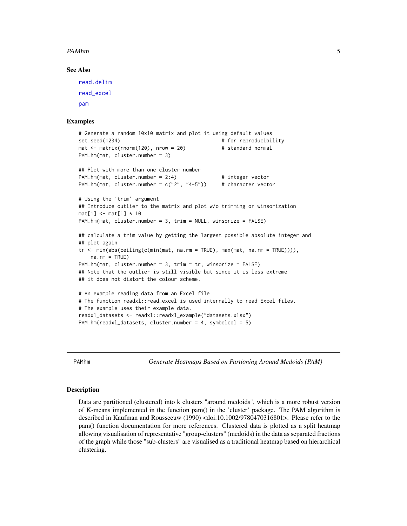#### <span id="page-4-0"></span>PAMhm 5

#### See Also

```
read.delim
read_excel
pam
```
#### Examples

```
# Generate a random 10x10 matrix and plot it using default values
set.seed(1234) \qquad # for reproducibility
mat \le matrix(rnorm(120), nrow = 20) # standard normal
PAM.hm(mat, cluster.number = 3)
## Plot with more than one cluster number
PAM.hm(mat, cluster.number = 2:4) # integer vector
PAM.hm(mat, cluster.number = c("2", "4-5") # character vector
# Using the 'trim' argument
## Introduce outlier to the matrix and plot w/o trimming or winsorization
mat[1] < -mat[1] * 10PAM.hm(mat, cluster.number = 3, trim = NULL, winsorize = FALSE)
## calculate a trim value by getting the largest possible absolute integer and
## plot again
tr <- min(abs(ceiling(c(min(mat, na.rm = TRUE), max(mat, na.rm = TRUE)))),
   na.rm = TRUE)
PAM.hm(mat, cluster.number = 3, trim = tr, winsorize = FALSE)
## Note that the outlier is still visible but since it is less extreme
## it does not distort the colour scheme.
# An example reading data from an Excel file
# The function readxl::read_excel is used internally to read Excel files.
# The example uses their example data.
readxl_datasets <- readxl::readxl_example("datasets.xlsx")
PAM.hm(readxl_datasets, cluster.number = 4, symbolcol = 5)
```
PAMhm *Generate Heatmaps Based on Partioning Around Medoids (PAM)*

#### **Description**

Data are partitioned (clustered) into k clusters "around medoids", which is a more robust version of K-means implemented in the function pam() in the 'cluster' package. The PAM algorithm is described in Kaufman and Rousseeuw (1990) <doi:10.1002/9780470316801>. Please refer to the pam() function documentation for more references. Clustered data is plotted as a split heatmap allowing visualisation of representative "group-clusters" (medoids) in the data as separated fractions of the graph while those "sub-clusters" are visualised as a traditional heatmap based on hierarchical clustering.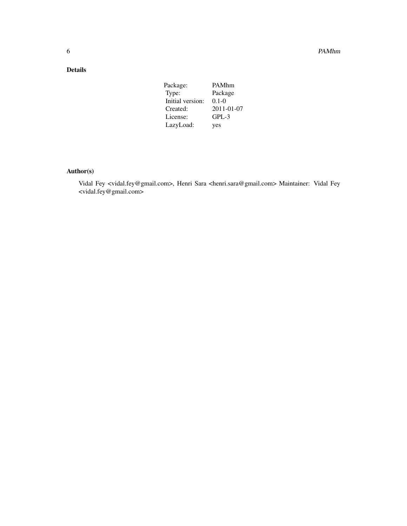### Details

| Package:         | PAMhm      |
|------------------|------------|
| Type:            | Package    |
| Initial version: | $0.1 - 0$  |
| Created:         | 2011-01-07 |
| License:         | $GPL-3$    |
| LazyLoad:        | yes        |
|                  |            |

#### Author(s)

Vidal Fey <vidal.fey@gmail.com>, Henri Sara <henri.sara@gmail.com> Maintainer: Vidal Fey <vidal.fey@gmail.com>